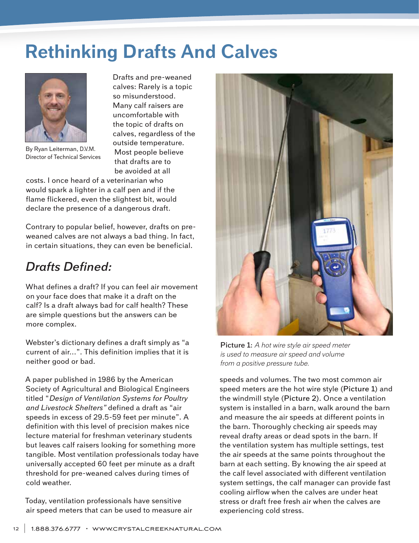# **Rethinking Drafts And Calves**



By Ryan Leiterman, D.V.M. Director of Technical Services

Drafts and pre-weaned calves: Rarely is a topic so misunderstood. Many calf raisers are uncomfortable with the topic of drafts on calves, regardless of the outside temperature. Most people believe that drafts are to be avoided at all

costs. I once heard of a veterinarian who would spark a lighter in a calf pen and if the flame flickered, even the slightest bit, would declare the presence of a dangerous draft.

Contrary to popular belief, however, drafts on preweaned calves are not always a bad thing. In fact, in certain situations, they can even be beneficial.

### *Drafts Defined:*

What defines a draft? If you can feel air movement on your face does that make it a draft on the calf? Is a draft always bad for calf health? These are simple questions but the answers can be more complex.

Webster's dictionary defines a draft simply as "a current of air…". This definition implies that it is neither good or bad.

A paper published in 1986 by the American Society of Agricultural and Biological Engineers titled "*Design of Ventilation Systems for Poultry and Livestock Shelters"* defined a draft as "air speeds in excess of 29.5-59 feet per minute". A definition with this level of precision makes nice lecture material for freshman veterinary students but leaves calf raisers looking for something more tangible. Most ventilation professionals today have universally accepted 60 feet per minute as a draft threshold for pre-weaned calves during times of cold weather.

Today, ventilation professionals have sensitive air speed meters that can be used to measure air



**Picture 1**: *A hot wire style air speed meter is used to measure air speed and volume from a positive pressure tube.*

speeds and volumes. The two most common air speed meters are the hot wire style (**Picture 1**) and the windmill style (**Picture 2**). Once a ventilation system is installed in a barn, walk around the barn and measure the air speeds at different points in the barn. Thoroughly checking air speeds may reveal drafty areas or dead spots in the barn. If the ventilation system has multiple settings, test the air speeds at the same points throughout the barn at each setting. By knowing the air speed at the calf level associated with different ventilation system settings, the calf manager can provide fast cooling airflow when the calves are under heat stress or draft free fresh air when the calves are experiencing cold stress.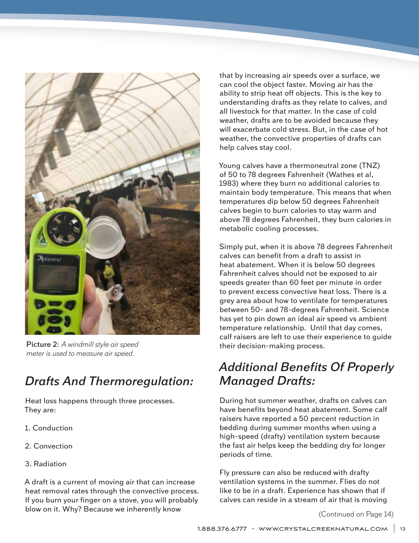

**Picture 2**: *A windmill style air speed meter is used to measure air speed.*

# *Drafts And Thermoregulation:*

Heat loss happens through three processes. They are:

- 1. Conduction
- 2. Convection
- 3. Radiation

A draft is a current of moving air that can increase heat removal rates through the convective process. If you burn your finger on a stove, you will probably blow on it. Why? Because we inherently know

that by increasing air speeds over a surface, we can cool the object faster. Moving air has the ability to strip heat off objects. This is the key to understanding drafts as they relate to calves, and all livestock for that matter. In the case of cold weather, drafts are to be avoided because they will exacerbate cold stress. But, in the case of hot weather, the convective properties of drafts can help calves stay cool.

Young calves have a thermoneutral zone (TNZ) of 50 to 78 degrees Fahrenheit (Wathes et al, 1983) where they burn no additional calories to maintain body temperature. This means that when temperatures dip below 50 degrees Fahrenheit calves begin to burn calories to stay warm and above 78 degrees Fahrenheit, they burn calories in metabolic cooling processes.

Simply put, when it is above 78 degrees Fahrenheit calves can benefit from a draft to assist in heat abatement. When it is below 50 degrees Fahrenheit calves should not be exposed to air speeds greater than 60 feet per minute in order to prevent excess convective heat loss. There is a grey area about how to ventilate for temperatures between 50- and 78-degrees Fahrenheit. Science has yet to pin down an ideal air speed vs ambient temperature relationship. Until that day comes, calf raisers are left to use their experience to guide their decision-making process.

### *Additional Benefits Of Properly Managed Drafts:*

During hot summer weather, drafts on calves can have benefits beyond heat abatement. Some calf raisers have reported a 50 percent reduction in bedding during summer months when using a high-speed (drafty) ventilation system because the fast air helps keep the bedding dry for longer periods of time.

Fly pressure can also be reduced with drafty ventilation systems in the summer. Flies do not like to be in a draft. Experience has shown that if calves can reside in a stream of air that is moving

(Continued on Page 14)